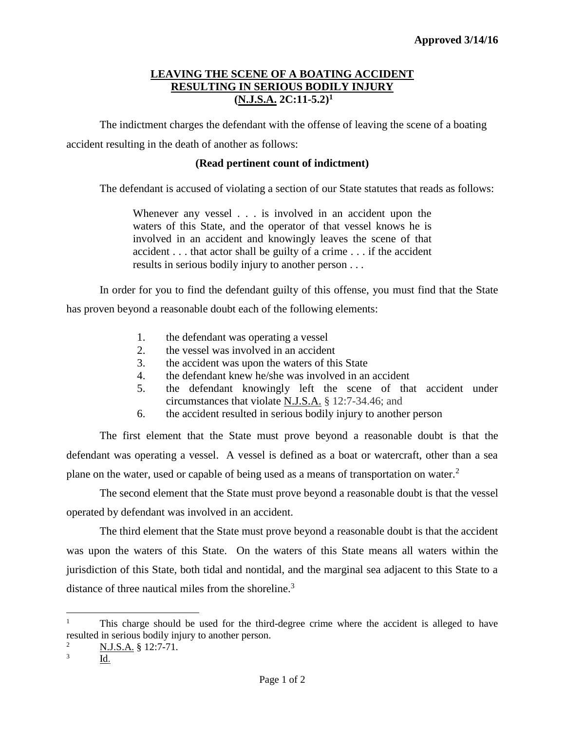## **LEAVING THE SCENE OF A BOATING ACCIDENT RESULTING IN SERIOUS BODILY INJURY (N.J.S.A. 2C:11-5.2)<sup>1</sup>**

The indictment charges the defendant with the offense of leaving the scene of a boating accident resulting in the death of another as follows:

## **(Read pertinent count of indictment)**

The defendant is accused of violating a section of our State statutes that reads as follows:

Whenever any vessel . . . is involved in an accident upon the waters of this State, and the operator of that vessel knows he is involved in an accident and knowingly leaves the scene of that accident . . . that actor shall be guilty of a crime . . . if the accident results in serious bodily injury to another person . . .

In order for you to find the defendant guilty of this offense, you must find that the State has proven beyond a reasonable doubt each of the following elements:

- 1. the defendant was operating a vessel
- 2. the vessel was involved in an accident
- 3. the accident was upon the waters of this State
- 4. the defendant knew he/she was involved in an accident
- 5. the defendant knowingly left the scene of that accident under circumstances that violate N.J.S.A. § 12:7-34.46; and
- 6. the accident resulted in serious bodily injury to another person

The first element that the State must prove beyond a reasonable doubt is that the defendant was operating a vessel. A vessel is defined as a boat or watercraft, other than a sea plane on the water, used or capable of being used as a means of transportation on water.<sup>2</sup>

The second element that the State must prove beyond a reasonable doubt is that the vessel operated by defendant was involved in an accident.

The third element that the State must prove beyond a reasonable doubt is that the accident was upon the waters of this State. On the waters of this State means all waters within the jurisdiction of this State, both tidal and nontidal, and the marginal sea adjacent to this State to a distance of three nautical miles from the shoreline.<sup>3</sup>

l

This charge should be used for the third-degree crime where the accident is alleged to have resulted in serious bodily injury to another person.

<sup>&</sup>lt;sup>2</sup> N.J.S.A. § 12:7-71.

<sup>3</sup> Id.